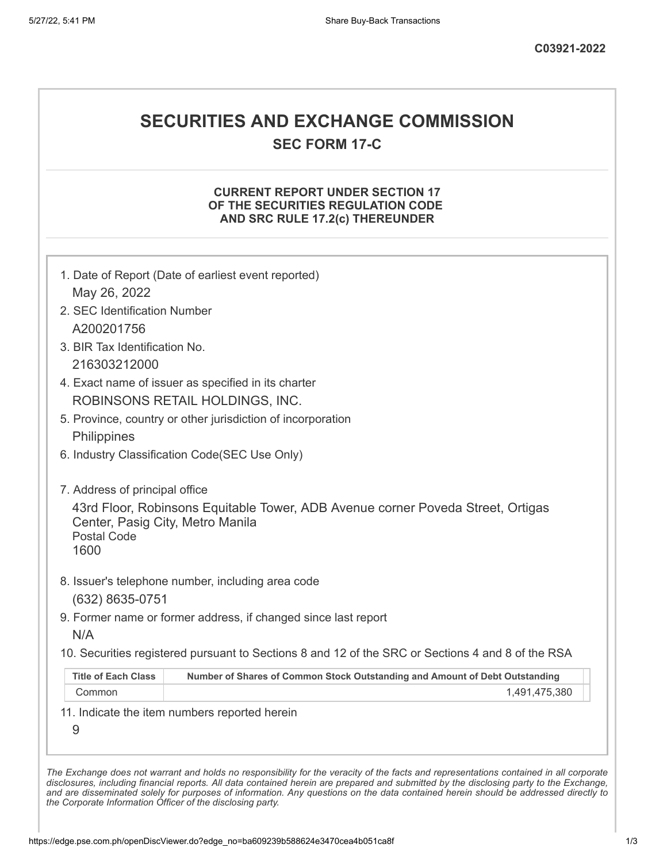# **SECURITIES AND EXCHANGE COMMISSION**

**SEC FORM 17-C**

## **CURRENT REPORT UNDER SECTION 17 OF THE SECURITIES REGULATION CODE AND SRC RULE 17.2(c) THEREUNDER**

| May 26, 2022                                                   |                                                                                                   |
|----------------------------------------------------------------|---------------------------------------------------------------------------------------------------|
| 2. SEC Identification Number                                   |                                                                                                   |
| A200201756                                                     |                                                                                                   |
| 3. BIR Tax Identification No.                                  |                                                                                                   |
| 216303212000                                                   |                                                                                                   |
|                                                                | 4. Exact name of issuer as specified in its charter                                               |
|                                                                | ROBINSONS RETAIL HOLDINGS, INC.                                                                   |
|                                                                | 5. Province, country or other jurisdiction of incorporation                                       |
| Philippines                                                    |                                                                                                   |
|                                                                | 6. Industry Classification Code(SEC Use Only)                                                     |
| 7. Address of principal office                                 |                                                                                                   |
| Center, Pasig City, Metro Manila<br><b>Postal Code</b><br>1600 | 43rd Floor, Robinsons Equitable Tower, ADB Avenue corner Poveda Street, Ortigas                   |
| (632) 8635-0751                                                | 8. Issuer's telephone number, including area code                                                 |
|                                                                | 9. Former name or former address, if changed since last report                                    |
| N/A                                                            |                                                                                                   |
|                                                                | 10. Securities registered pursuant to Sections 8 and 12 of the SRC or Sections 4 and 8 of the RSA |
|                                                                | Number of Shares of Common Stock Outstanding and Amount of Debt Outstanding                       |
| <b>Title of Each Class</b>                                     | 1,491,475,380                                                                                     |
| Common                                                         |                                                                                                   |
| 9                                                              | 11. Indicate the item numbers reported herein                                                     |

*the Corporate Information Officer of the disclosing party.*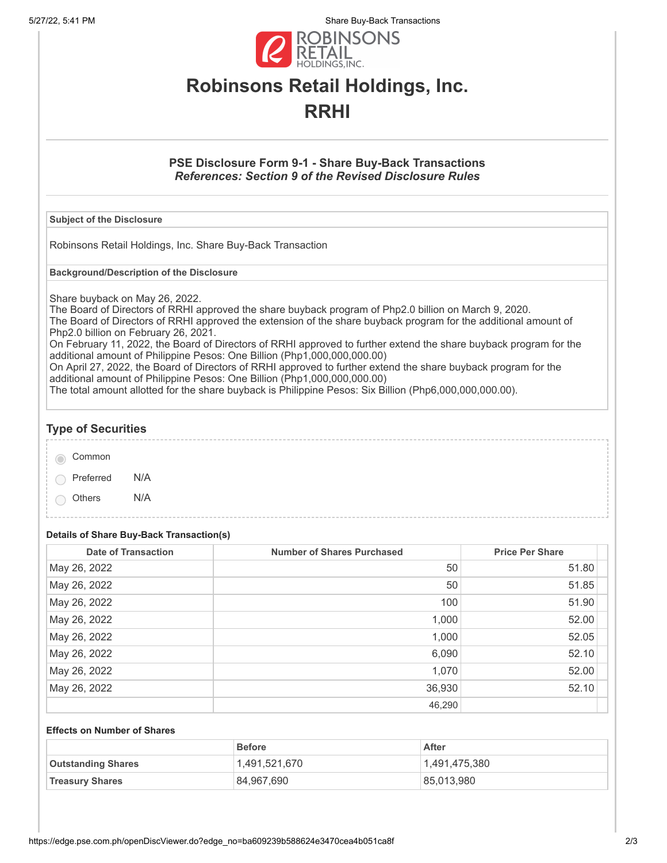5/27/22, 5:41 PM Share Buy-Back Transactions



# **Robinsons Retail Holdings, Inc. RRHI**

## **PSE Disclosure Form 9-1 - Share Buy-Back Transactions** *References: Section 9 of the Revised Disclosure Rules*

#### **Subject of the Disclosure**

Robinsons Retail Holdings, Inc. Share Buy-Back Transaction

**Background/Description of the Disclosure**

Share buyback on May 26, 2022.

The Board of Directors of RRHI approved the share buyback program of Php2.0 billion on March 9, 2020. The Board of Directors of RRHI approved the extension of the share buyback program for the additional amount of Php2.0 billion on February 26, 2021.

On February 11, 2022, the Board of Directors of RRHI approved to further extend the share buyback program for the additional amount of Philippine Pesos: One Billion (Php1,000,000,000.00)

On April 27, 2022, the Board of Directors of RRHI approved to further extend the share buyback program for the additional amount of Philippine Pesos: One Billion (Php1,000,000,000.00)

The total amount allotted for the share buyback is Philippine Pesos: Six Billion (Php6,000,000,000.00).

## **Type of Securities**

| Common |
|--------|
|        |

Preferred N/A

Others N/A

# **Details of Share Buy-Back Transaction(s)**

| <b>Date of Transaction</b> | <b>Number of Shares Purchased</b> | <b>Price Per Share</b> |
|----------------------------|-----------------------------------|------------------------|
| May 26, 2022               | 50                                | 51.80                  |
| May 26, 2022               | 50                                | 51.85                  |
| May 26, 2022               | 100                               | 51.90                  |
| May 26, 2022               | 1,000                             | 52.00                  |
| May 26, 2022               | 1,000                             | 52.05                  |
| May 26, 2022               | 6,090                             | 52.10                  |
| May 26, 2022               | 1,070                             | 52.00                  |
| May 26, 2022               | 36,930                            | 52.10                  |
|                            | 46,290                            |                        |

#### **Effects on Number of Shares**

|                           | <b>Before</b> | After         |
|---------------------------|---------------|---------------|
| <b>Outstanding Shares</b> | 1,491,521,670 | 1,491,475,380 |
| <b>Treasury Shares</b>    | 84,967,690    | 85,013,980    |